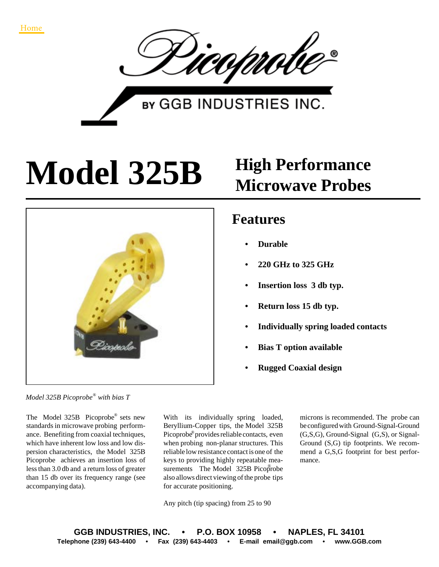

**BY GGB INDUSTRIES INC.** 

## **Model 325B High Performance**



## **Microwave Probes**

## **Features**

- **Durable**
- **220 GHz to 325 GHz**
- **Insertion loss 3 db typ.**
- **Return loss 15 db typ.**
- **Individually spring loaded contacts**
- **Bias T option available**
- **Rugged Coaxial design**

*Model 325B Picoprobe with bias T* ®

The Model  $325B$  Picoprobe® sets new standards in microwave probing performance. Benefiting from coaxial techniques, which have inherent low loss and low dispersion characteristics, the Model 325B Picoprobe achieves an insertion loss of less than 3.0 db and a return loss of greater than 15 db over its frequency range (see accompanying data).

With its individually spring loaded, Beryllium-Copper tips, the Model 325B Picoprobe® provides reliable contacts, even when probing non-planar structures. This reliable low resistance contact is one of the keys to providing highly repeatable measurements The Model 325B Picoprobe also allows direct viewing of the probe tips for accurate positioning.

Any pitch (tip spacing) from 25 to 90

microns is recommended. The probe can be configured with Ground-Signal-Ground (G,S,G), Ground-Signal (G,S), or Signal-Ground (S,G) tip footprints. We recommend a G,S,G footprint for best performance.